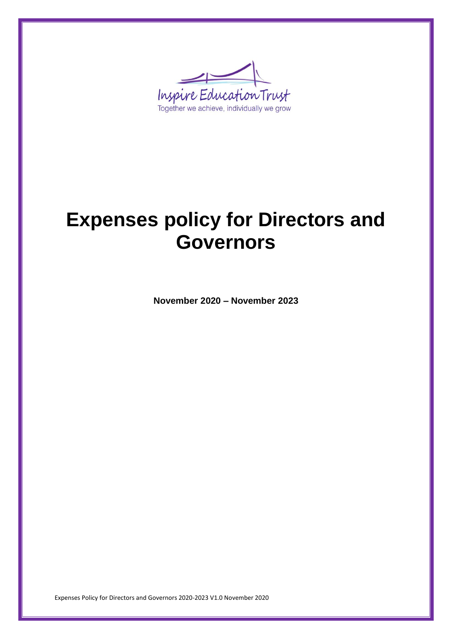

# **Expenses policy for Directors and Governors**

**November 2020 – November 2023**

Expenses Policy for Directors and Governors 2020-2023 V1.0 November 2020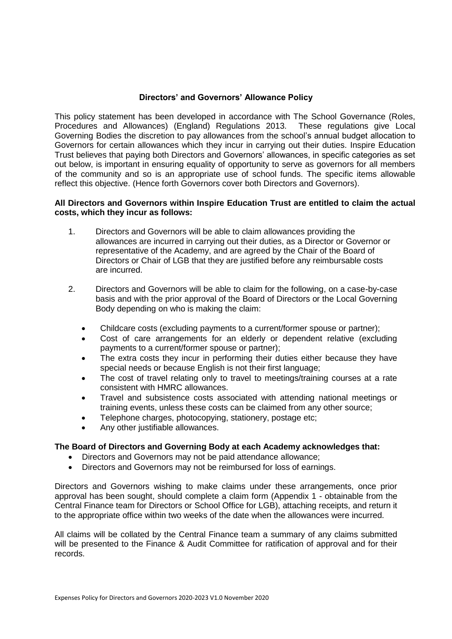## **Directors' and Governors' Allowance Policy**

This policy statement has been developed in accordance with The School Governance (Roles, Procedures and Allowances) (England) Regulations 2013. These regulations give Local Governing Bodies the discretion to pay allowances from the school's annual budget allocation to Governors for certain allowances which they incur in carrying out their duties. Inspire Education Trust believes that paying both Directors and Governors' allowances, in specific categories as set out below, is important in ensuring equality of opportunity to serve as governors for all members of the community and so is an appropriate use of school funds. The specific items allowable reflect this objective. (Hence forth Governors cover both Directors and Governors).

### **All Directors and Governors within Inspire Education Trust are entitled to claim the actual costs, which they incur as follows:**

- 1. Directors and Governors will be able to claim allowances providing the allowances are incurred in carrying out their duties, as a Director or Governor or representative of the Academy, and are agreed by the Chair of the Board of Directors or Chair of LGB that they are justified before any reimbursable costs are incurred.
- 2. Directors and Governors will be able to claim for the following, on a case-by-case basis and with the prior approval of the Board of Directors or the Local Governing Body depending on who is making the claim:
	- Childcare costs (excluding payments to a current/former spouse or partner);
	- Cost of care arrangements for an elderly or dependent relative (excluding payments to a current/former spouse or partner);
	- The extra costs they incur in performing their duties either because they have special needs or because English is not their first language;
	- The cost of travel relating only to travel to meetings/training courses at a rate consistent with HMRC allowances.
	- Travel and subsistence costs associated with attending national meetings or training events, unless these costs can be claimed from any other source;
	- Telephone charges, photocopying, stationery, postage etc;
	- Any other justifiable allowances.

#### **The Board of Directors and Governing Body at each Academy acknowledges that:**

- Directors and Governors may not be paid attendance allowance;
- Directors and Governors may not be reimbursed for loss of earnings.

Directors and Governors wishing to make claims under these arrangements, once prior approval has been sought, should complete a claim form (Appendix 1 - obtainable from the Central Finance team for Directors or School Office for LGB), attaching receipts, and return it to the appropriate office within two weeks of the date when the allowances were incurred.

All claims will be collated by the Central Finance team a summary of any claims submitted will be presented to the Finance & Audit Committee for ratification of approval and for their records.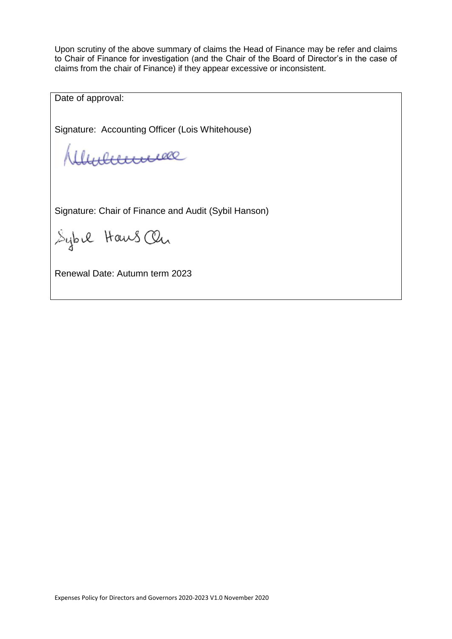Upon scrutiny of the above summary of claims the Head of Finance may be refer and claims to Chair of Finance for investigation (and the Chair of the Board of Director's in the case of claims from the chair of Finance) if they appear excessive or inconsistent.

Date of approval:

Signature: Accounting Officer (Lois Whitehouse)

Munenme

Signature: Chair of Finance and Audit (Sybil Hanson)

Sybil Haws On

Renewal Date: Autumn term 2023